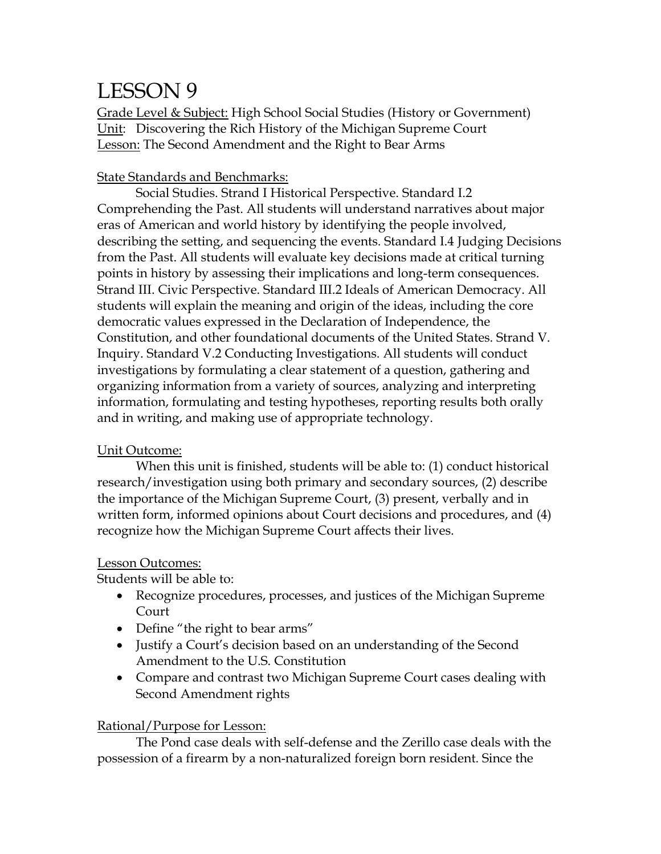# LESSON 9

Grade Level & Subject: High School Social Studies (History or Government) Unit: Discovering the Rich History of the Michigan Supreme Court Lesson: The Second Amendment and the Right to Bear Arms

#### State Standards and Benchmarks:

Social Studies. Strand I Historical Perspective. Standard I.2 Comprehending the Past. All students will understand narratives about major eras of American and world history by identifying the people involved, describing the setting, and sequencing the events. Standard I.4 Judging Decisions from the Past. All students will evaluate key decisions made at critical turning points in history by assessing their implications and long-term consequences. Strand III. Civic Perspective. Standard III.2 Ideals of American Democracy. All students will explain the meaning and origin of the ideas, including the core democratic values expressed in the Declaration of Independence, the Constitution, and other foundational documents of the United States. Strand V. Inquiry. Standard V.2 Conducting Investigations. All students will conduct investigations by formulating a clear statement of a question, gathering and organizing information from a variety of sources, analyzing and interpreting information, formulating and testing hypotheses, reporting results both orally and in writing, and making use of appropriate technology.

#### Unit Outcome:

When this unit is finished, students will be able to: (1) conduct historical research/investigation using both primary and secondary sources, (2) describe the importance of the Michigan Supreme Court, (3) present, verbally and in written form, informed opinions about Court decisions and procedures, and (4) recognize how the Michigan Supreme Court affects their lives.

#### Lesson Outcomes:

Students will be able to:

- Recognize procedures, processes, and justices of the Michigan Supreme Court
- Define "the right to bear arms"
- Justify a Court's decision based on an understanding of the Second Amendment to the U.S. Constitution
- Compare and contrast two Michigan Supreme Court cases dealing with Second Amendment rights

#### Rational/Purpose for Lesson:

The Pond case deals with self-defense and the Zerillo case deals with the possession of a firearm by a non-naturalized foreign born resident. Since the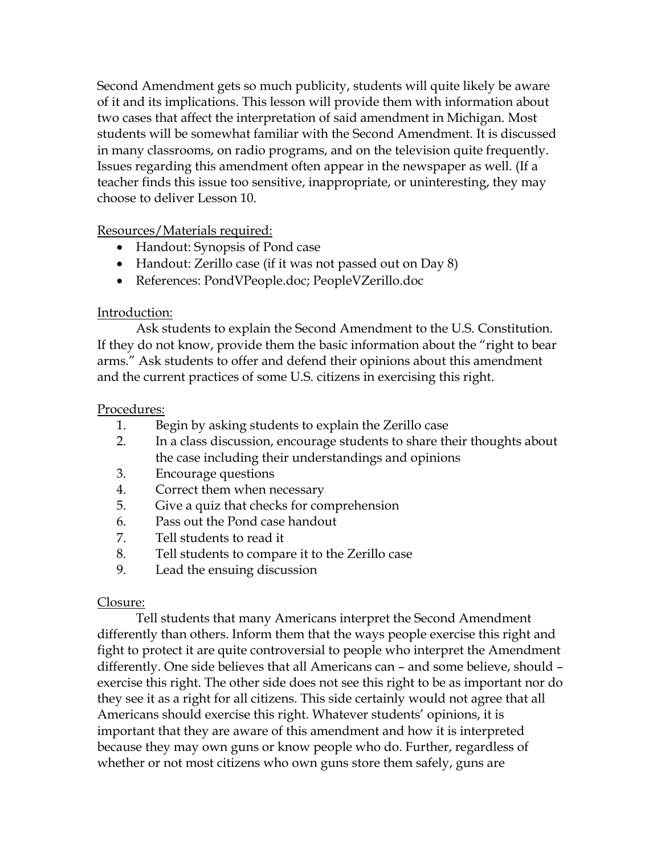Second Amendment gets so much publicity, students will quite likely be aware of it and its implications. This lesson will provide them with information about two cases that affect the interpretation of said amendment in Michigan. Most students will be somewhat familiar with the Second Amendment. It is discussed in many classrooms, on radio programs, and on the television quite frequently. Issues regarding this amendment often appear in the newspaper as well. (If a teacher finds this issue too sensitive, inappropriate, or uninteresting, they may choose to deliver Lesson 10.

#### Resources/Materials required:

- Handout: Synopsis of Pond case
- Handout: Zerillo case (if it was not passed out on Day 8)
- References: PondVPeople.doc; PeopleVZerillo.doc

#### Introduction:

Ask students to explain the Second Amendment to the U.S. Constitution. If they do not know, provide them the basic information about the "right to bear arms." Ask students to offer and defend their opinions about this amendment and the current practices of some U.S. citizens in exercising this right.

#### Procedures:

- 1. Begin by asking students to explain the Zerillo case
- 2. In a class discussion, encourage students to share their thoughts about the case including their understandings and opinions
- 3. Encourage questions
- 4. Correct them when necessary
- 5. Give a quiz that checks for comprehension
- 6. Pass out the Pond case handout
- 7. Tell students to read it
- 8. Tell students to compare it to the Zerillo case
- 9. Lead the ensuing discussion

#### Closure:

Tell students that many Americans interpret the Second Amendment differently than others. Inform them that the ways people exercise this right and fight to protect it are quite controversial to people who interpret the Amendment differently. One side believes that all Americans can – and some believe, should – exercise this right. The other side does not see this right to be as important nor do they see it as a right for all citizens. This side certainly would not agree that all Americans should exercise this right. Whatever students' opinions, it is important that they are aware of this amendment and how it is interpreted because they may own guns or know people who do. Further, regardless of whether or not most citizens who own guns store them safely, guns are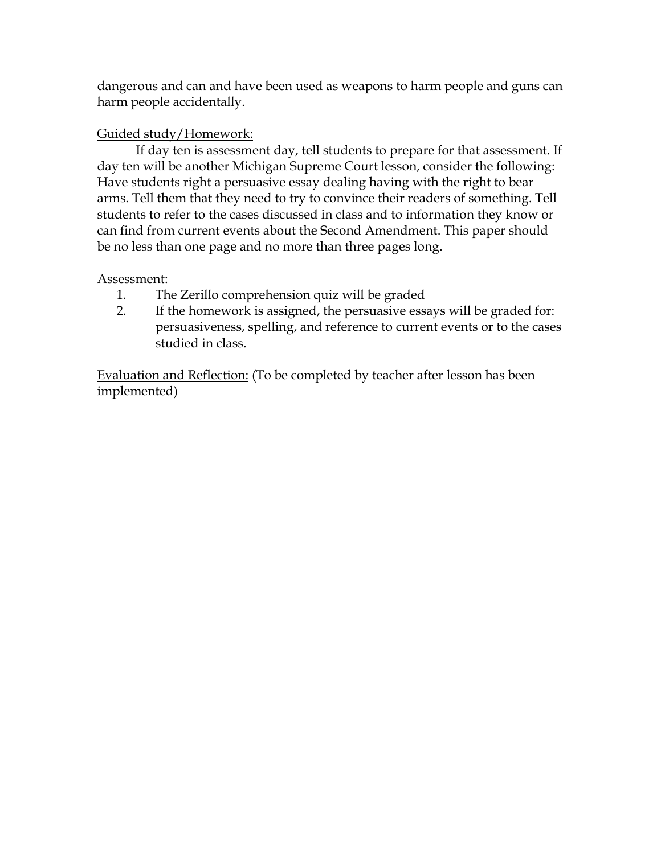dangerous and can and have been used as weapons to harm people and guns can harm people accidentally.

### Guided study/Homework:

If day ten is assessment day, tell students to prepare for that assessment. If day ten will be another Michigan Supreme Court lesson, consider the following: Have students right a persuasive essay dealing having with the right to bear arms. Tell them that they need to try to convince their readers of something. Tell students to refer to the cases discussed in class and to information they know or can find from current events about the Second Amendment. This paper should be no less than one page and no more than three pages long.

#### Assessment:

- 1. The Zerillo comprehension quiz will be graded
- 2. If the homework is assigned, the persuasive essays will be graded for: persuasiveness, spelling, and reference to current events or to the cases studied in class.

Evaluation and Reflection: (To be completed by teacher after lesson has been implemented)